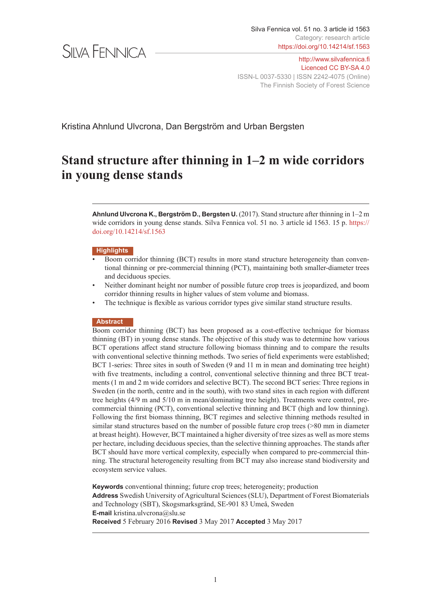

http://[www.silvafennica.fi](http://www.silvafennica.fi) [Licenced CC BY-SA 4.0](https://creativecommons.org/licenses/by-sa/4.0/deed.en) ISSN-L 0037-5330 | ISSN 2242-4075 (Online) The Finnish Society of Forest Science

Kristina Ahnlund Ulvcrona, Dan Bergström and Urban Bergsten

# **Stand structure after thinning in 1–2 m wide corridors in young dense stands**

**Ahnlund Ulvcrona K., Bergström D., Bergsten U.** (2017). Stand structure after thinning in 1–2 m wide corridors in young dense stands. Silva Fennica vol. 51 no. 3 article id 1563. 15 p. [https://](https://doi.org/10.14214/sf.1563) [doi.org/10.14214/sf.1563](https://doi.org/10.14214/sf.1563)

#### **Highlights**

- Boom corridor thinning (BCT) results in more stand structure heterogeneity than conventional thinning or pre-commercial thinning (PCT), maintaining both smaller-diameter trees and deciduous species.
- Neither dominant height nor number of possible future crop trees is jeopardized, and boom corridor thinning results in higher values of stem volume and biomass.
- The technique is flexible as various corridor types give similar stand structure results.

#### **Abstract**

Boom corridor thinning (BCT) has been proposed as a cost-effective technique for biomass thinning (BT) in young dense stands. The objective of this study was to determine how various BCT operations affect stand structure following biomass thinning and to compare the results with conventional selective thinning methods. Two series of field experiments were established; BCT 1-series: Three sites in south of Sweden (9 and 11 m in mean and dominating tree height) with five treatments, including a control, conventional selective thinning and three BCT treatments (1 m and 2 m wide corridors and selective BCT). The second BCT series: Three regions in Sweden (in the north, centre and in the south), with two stand sites in each region with different tree heights (4/9 m and 5/10 m in mean/dominating tree height). Treatments were control, precommercial thinning (PCT), conventional selective thinning and BCT (high and low thinning). Following the first biomass thinning, BCT regimes and selective thinning methods resulted in similar stand structures based on the number of possible future crop trees (>80 mm in diameter at breast height). However, BCT maintained a higher diversity of tree sizes as well as more stems per hectare, including deciduous species, than the selective thinning approaches. The stands after BCT should have more vertical complexity, especially when compared to pre-commercial thinning. The structural heterogeneity resulting from BCT may also increase stand biodiversity and ecosystem service values.

**Keywords** conventional thinning; future crop trees; heterogeneity; production **Address** Swedish University of Agricultural Sciences (SLU), Department of Forest Biomaterials and Technology (SBT), Skogsmarksgränd, SE-901 83 Umeå, Sweden **E-mail** kristina.ulvcrona@slu.se **Received** 5 February 2016 **Revised** 3 May 2017 **Accepted** 3 May 2017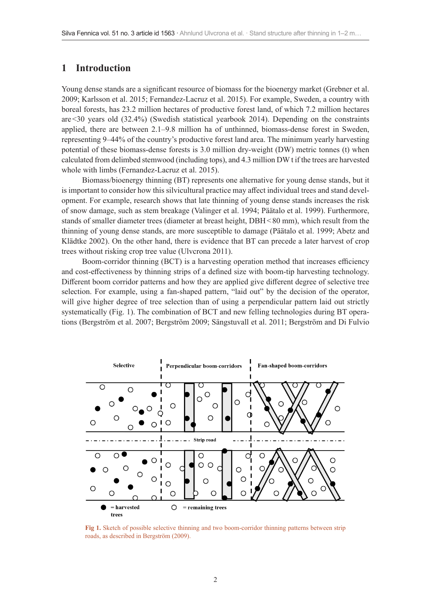## **1 Introduction**

Young dense stands are a significant resource of biomass for the bioenergy market (Grebner et al. 2009; Karlsson et al. 2015; Fernandez-Lacruz et al. 2015). For example, Sweden, a country with boreal forests, has 23.2 million hectares of productive forest land, of which 7.2 million hectares are<30 years old (32.4%) (Swedish statistical yearbook 2014). Depending on the constraints applied, there are between 2.1–9.8 million ha of unthinned, biomass-dense forest in Sweden, representing 9–44% of the country's productive forest land area. The minimum yearly harvesting potential of these biomass-dense forests is 3.0 million dry-weight (DW) metric tonnes (t) when calculated from delimbed stemwood (including tops), and 4.3 million DW t if the trees are harvested whole with limbs (Fernandez-Lacruz et al. 2015).

Biomass/bioenergy thinning (BT) represents one alternative for young dense stands, but it is important to consider how this silvicultural practice may affect individual trees and stand development. For example, research shows that late thinning of young dense stands increases the risk of snow damage, such as stem breakage (Valinger et al. 1994; Päätalo et al. 1999). Furthermore, stands of smaller diameter trees (diameter at breast height, DBH <80 mm), which result from the thinning of young dense stands, are more susceptible to damage (Päätalo et al. 1999; Abetz and Klädtke 2002). On the other hand, there is evidence that BT can precede a later harvest of crop trees without risking crop tree value (Ulvcrona 2011).

Boom-corridor thinning (BCT) is a harvesting operation method that increases efficiency and cost-effectiveness by thinning strips of a defined size with boom-tip harvesting technology. Different boom corridor patterns and how they are applied give different degree of selective tree selection. For example, using a fan-shaped pattern, "laid out" by the decision of the operator, will give higher degree of tree selection than of using a perpendicular pattern laid out strictly systematically (Fig. 1). The combination of BCT and new felling technologies during BT operations (Bergström et al. 2007; Bergström 2009; Sängstuvall et al. 2011; Bergström and Di Fulvio



**Fig 1.** Sketch of possible selective thinning and two boom-corridor thinning patterns between strip roads, as described in Bergström (2009).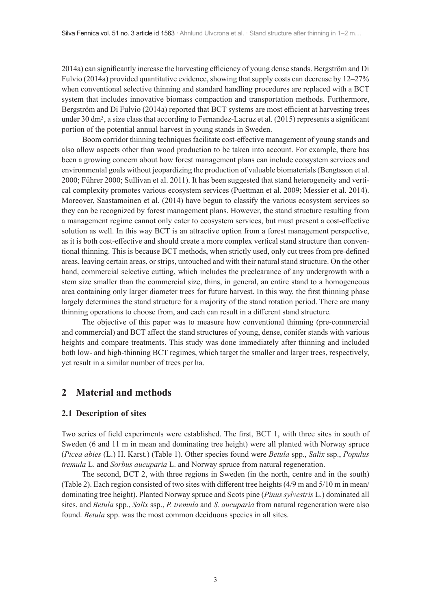2014a) can significantly increase the harvesting efficiency of young dense stands. Bergström and Di Fulvio (2014a) provided quantitative evidence, showing that supply costs can decrease by 12–27% when conventional selective thinning and standard handling procedures are replaced with a BCT system that includes innovative biomass compaction and transportation methods. Furthermore, Bergström and Di Fulvio (2014a) reported that BCT systems are most efficient at harvesting trees under 30 dm<sup>3</sup>, a size class that according to Fernandez-Lacruz et al. (2015) represents a significant portion of the potential annual harvest in young stands in Sweden.

Boom corridor thinning techniques facilitate cost-effective management of young stands and also allow aspects other than wood production to be taken into account. For example, there has been a growing concern about how forest management plans can include ecosystem services and environmental goals without jeopardizing the production of valuable biomaterials (Bengtsson et al. 2000; Führer 2000; Sullivan et al. 2011). It has been suggested that stand heterogeneity and vertical complexity promotes various ecosystem services (Puettman et al. 2009; Messier et al. 2014). Moreover, Saastamoinen et al. (2014) have begun to classify the various ecosystem services so they can be recognized by forest management plans. However, the stand structure resulting from a management regime cannot only cater to ecosystem services, but must present a cost-effective solution as well. In this way BCT is an attractive option from a forest management perspective, as it is both cost-effective and should create a more complex vertical stand structure than conventional thinning. This is because BCT methods, when strictly used, only cut trees from pre-defined areas, leaving certain areas, or strips, untouched and with their natural stand structure. On the other hand, commercial selective cutting, which includes the preclearance of any undergrowth with a stem size smaller than the commercial size, thins, in general, an entire stand to a homogeneous area containing only larger diameter trees for future harvest. In this way, the first thinning phase largely determines the stand structure for a majority of the stand rotation period. There are many thinning operations to choose from, and each can result in a different stand structure.

The objective of this paper was to measure how conventional thinning (pre-commercial and commercial) and BCT affect the stand structures of young, dense, conifer stands with various heights and compare treatments. This study was done immediately after thinning and included both low- and high-thinning BCT regimes, which target the smaller and larger trees, respectively, yet result in a similar number of trees per ha.

## **2 Material and methods**

## **2.1 Description of sites**

Two series of field experiments were established. The first, BCT 1, with three sites in south of Sweden (6 and 11 m in mean and dominating tree height) were all planted with Norway spruce (*Picea abies* (L.) H. Karst.) (Table 1). Other species found were *Betula* spp., *Salix* ssp., *Populus tremula* L. and *Sorbus aucuparia* L. and Norway spruce from natural regeneration.

The second, BCT 2, with three regions in Sweden (in the north, centre and in the south) (Table 2). Each region consisted of two sites with different tree heights (4/9 m and 5/10 m in mean/ dominating tree height). Planted Norway spruce and Scots pine (*Pinus sylvestris* L.) dominated all sites, and *Betula* spp., *Salix* ssp., *P. tremula* and *S. aucuparia* from natural regeneration were also found. *Betula* spp. was the most common deciduous species in all sites.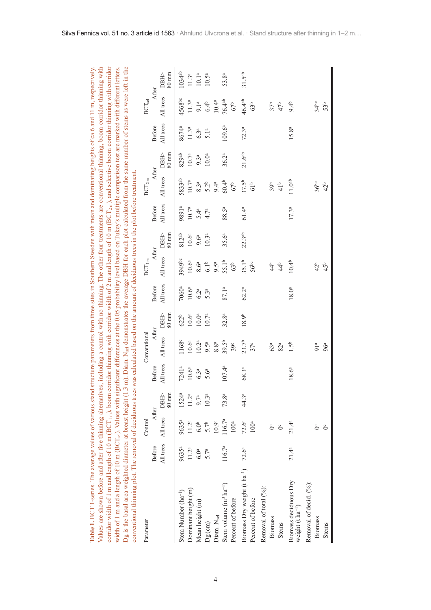| corridor width of 1 m and length of 10 m (BCT <sub>1 m</sub> ), boom corridor thiming with corridor width of 2 m and length of 10 m (BCT <sub>2 m</sub> ), and selective boom corridor thiming with corridor<br>Dg is the basal area weighted diameter at breast height (1.3 m). Diam. N <sub>sel</sub> demonstrates the average DBH for each plot calculated from the same number of stems as were left in the<br>width of 1 m and a length of 10 m (BCT <sub>sel</sub> ). Values with significant differences at the 0.05 probability level based on Tukey's multiple comparison test are marked with different letters<br>Table 1. BCT 1-series. The average values of various stand<br>Values are shown before and after five thinning alternative<br>conventional thiming plot. The removal of deciduous trees |                   |                                       |                   |                    |                                   |                                   |                  |                                      | was calculated based on the amount of deciduous trees in the plot before treatment. |                   |                               |                         |                   | es, including a control with no thinning. The other four treatments are conventional thinning, boom corridor thinning with<br>structure parameters from three sites in Southern Sweden with mean and dominating heights of ca 6 and 11 m, respectively |                                   |
|---------------------------------------------------------------------------------------------------------------------------------------------------------------------------------------------------------------------------------------------------------------------------------------------------------------------------------------------------------------------------------------------------------------------------------------------------------------------------------------------------------------------------------------------------------------------------------------------------------------------------------------------------------------------------------------------------------------------------------------------------------------------------------------------------------------------|-------------------|---------------------------------------|-------------------|--------------------|-----------------------------------|-----------------------------------|------------------|--------------------------------------|-------------------------------------------------------------------------------------|-------------------|-------------------------------|-------------------------|-------------------|--------------------------------------------------------------------------------------------------------------------------------------------------------------------------------------------------------------------------------------------------------|-----------------------------------|
| Parameter                                                                                                                                                                                                                                                                                                                                                                                                                                                                                                                                                                                                                                                                                                                                                                                                           |                   | Control                               |                   |                    | Conventional                      |                                   |                  | $BCT_{lm}$                           |                                                                                     |                   | $BCT_{2m}$                    |                         |                   | $\rm BCT_{sel}$                                                                                                                                                                                                                                        |                                   |
|                                                                                                                                                                                                                                                                                                                                                                                                                                                                                                                                                                                                                                                                                                                                                                                                                     | Before            | After                                 |                   | Before             | After                             |                                   | <b>Before</b>    | After                                |                                                                                     | Before            | After                         |                         | Before            | After                                                                                                                                                                                                                                                  |                                   |
|                                                                                                                                                                                                                                                                                                                                                                                                                                                                                                                                                                                                                                                                                                                                                                                                                     | All trees         | All trees DBH>                        | 80 mm             | All trees          | All trees                         | <b>DBH&gt;</b><br>$80 \text{ mm}$ | All trees        | All trees                            | DBH><br>80 mm                                                                       | All trees         | All trees                     | DBH><br>$80 \text{ mm}$ | All trees         | All trees                                                                                                                                                                                                                                              | $80 \text{ mm}$<br><b>DBH&gt;</b> |
| Stem Number $(ha^{-1})$                                                                                                                                                                                                                                                                                                                                                                                                                                                                                                                                                                                                                                                                                                                                                                                             | 9635 <sup>a</sup> | 9635 <sup>a</sup>                     | 1524 <sup>a</sup> | 7241 <sup>a</sup>  | 1168 <sup>c</sup>                 | 622 <sup>b</sup>                  | 7060ª            | 3949bc                               | $812^{ab}$                                                                          | 9891ª             | 5833ab                        | 829ab                   | 8674 <sup>a</sup> | 4568bc                                                                                                                                                                                                                                                 | 1034 <sup>ab</sup>                |
| Dominant height (m)                                                                                                                                                                                                                                                                                                                                                                                                                                                                                                                                                                                                                                                                                                                                                                                                 | 11.2 <sup>a</sup> | 11.2 <sup>a</sup>                     | 11.2 <sup>a</sup> | $10.6^{\rm a}$     | $10.6^{a}$                        | 10.6 <sup>a</sup>                 | $10.6^{\rm a}$   | $10.6^{a}$                           | $10.6^{\rm a}$                                                                      | 10.7 <sup>a</sup> | 10.7 <sup>a</sup>             | $10.7^{\rm a}$          | 11.3 <sup>a</sup> | 11.3 <sup>a</sup>                                                                                                                                                                                                                                      | 11.3 <sup>a</sup>                 |
| Mean height (m)                                                                                                                                                                                                                                                                                                                                                                                                                                                                                                                                                                                                                                                                                                                                                                                                     | 6.0 <sup>a</sup>  | 6.0 <sup>b</sup>                      | 9.7 <sup>a</sup>  | $6.3^{\rm a}$      | 10.2 <sup>a</sup>                 | $10.0^{\rm a}$                    | $6.2^{\rm a}$    | $8.6^{\rm a}$                        | 9.6 <sup>a</sup>                                                                    | 5.4 <sup>a</sup>  | 8.3 <sup>a</sup>              | $9.3^{\rm a}$           | $6.3^{\rm a}$     | 9.1 <sup>a</sup>                                                                                                                                                                                                                                       | $10.1^{\rm a}$                    |
| $D_g$ (cm)                                                                                                                                                                                                                                                                                                                                                                                                                                                                                                                                                                                                                                                                                                                                                                                                          | 5.7 <sup>a</sup>  | 5.7 <sup>b</sup>                      | 10.3 <sup>a</sup> | 5.6 <sup>a</sup>   | $9.5^{\rm a}$                     | 10.7 <sup>a</sup>                 | 5.3 <sup>a</sup> | 6.1 <sup>b</sup>                     | 10.3 <sup>a</sup>                                                                   | 4.7 <sup>a</sup>  | 5.2 <sup>b</sup>              | 10.0 <sup>a</sup>       | 5.1 <sup>a</sup>  | 6.4 <sup>b</sup>                                                                                                                                                                                                                                       | $10.5^{\rm a}$                    |
| Diam. N <sub>sel</sub>                                                                                                                                                                                                                                                                                                                                                                                                                                                                                                                                                                                                                                                                                                                                                                                              |                   | 10.9 <sup>a</sup>                     |                   |                    | 8.8 <sup>a</sup>                  |                                   |                  | $9.5^{\mathrm{a}}$                   |                                                                                     |                   | 9.4 <sup>a</sup>              |                         |                   | $10.4^{\rm a}$                                                                                                                                                                                                                                         |                                   |
| Stem volume $(m^3 ha^{-1})$<br>Percent of before                                                                                                                                                                                                                                                                                                                                                                                                                                                                                                                                                                                                                                                                                                                                                                    | $116.7^{\rm a}$   | $116.7^{\rm a}$<br>100 <sup>a</sup>   | 73.8 <sup>a</sup> | 107.4 <sup>a</sup> | $39.5^{b}$<br>39 <sup>c</sup>     | 32.8 <sup>a</sup>                 | 87.1ª            | 55.1 <sup>b</sup><br>63 <sup>b</sup> | 35.6 <sup>a</sup>                                                                   | 88.5ª             | 60.4 <sup>b</sup><br>$67b$    | $36.2^{a}$              | $109.6^{a}$       | 76.4ab<br>67 <sup>b</sup>                                                                                                                                                                                                                              | 53.8ª                             |
|                                                                                                                                                                                                                                                                                                                                                                                                                                                                                                                                                                                                                                                                                                                                                                                                                     |                   |                                       |                   |                    |                                   |                                   |                  |                                      |                                                                                     |                   |                               |                         |                   |                                                                                                                                                                                                                                                        |                                   |
| Biomass Dry weight (t ha <sup>-1</sup> )<br>Percent of before                                                                                                                                                                                                                                                                                                                                                                                                                                                                                                                                                                                                                                                                                                                                                       | $72.6^{\rm a}$    | 72.6 <sup>a</sup><br>100 <sup>a</sup> | 44.3ª             | 68.3ª              | 23.7 <sup>b</sup><br>$37^{\circ}$ | $18.9b$                           | $62.2^{a}$       | 35.1 <sup>b</sup><br>$56^{bc}$       | 22.3ab                                                                              | 61.4 <sup>a</sup> | $37.5^{b}$<br>61 <sup>b</sup> | 21.6 <sup>ab</sup>      | 72.3 <sup>a</sup> | 46.4ab<br>63 <sup>b</sup>                                                                                                                                                                                                                              | 31.5 <sup>ab</sup>                |
| Removal of total (%):                                                                                                                                                                                                                                                                                                                                                                                                                                                                                                                                                                                                                                                                                                                                                                                               |                   |                                       |                   |                    |                                   |                                   |                  |                                      |                                                                                     |                   |                               |                         |                   |                                                                                                                                                                                                                                                        |                                   |
| Biomass                                                                                                                                                                                                                                                                                                                                                                                                                                                                                                                                                                                                                                                                                                                                                                                                             |                   | ŏ                                     |                   |                    | 63 <sup>a</sup>                   |                                   |                  | 44 <sup>b</sup>                      |                                                                                     |                   | 39 <sup>b</sup>               |                         |                   | 37 <sub>b</sub>                                                                                                                                                                                                                                        |                                   |
| <b>Stems</b>                                                                                                                                                                                                                                                                                                                                                                                                                                                                                                                                                                                                                                                                                                                                                                                                        |                   | ŏ                                     |                   |                    | $82^a$                            |                                   |                  | 44 <sup>b</sup>                      |                                                                                     |                   | 41 <sup>b</sup>               |                         |                   | 47 <sup>b</sup>                                                                                                                                                                                                                                        |                                   |
| Biomass deciduous Dry<br>weight $(t \ln a^{-1})$                                                                                                                                                                                                                                                                                                                                                                                                                                                                                                                                                                                                                                                                                                                                                                    | $21.4^{a}$        | $21.4^{a}$                            |                   | $18.6^{a}$         | 1.5 <sup>b</sup>                  |                                   | 18.0a            | $10.4^{b}$                           |                                                                                     | 17.3 <sup>a</sup> | 11.0 <sup>ab</sup>            |                         | 15.8 <sup>a</sup> | 9.4 <sup>b</sup>                                                                                                                                                                                                                                       |                                   |
| Removal of decid. (%):                                                                                                                                                                                                                                                                                                                                                                                                                                                                                                                                                                                                                                                                                                                                                                                              |                   |                                       |                   |                    |                                   |                                   |                  |                                      |                                                                                     |                   |                               |                         |                   |                                                                                                                                                                                                                                                        |                                   |
| <b>Biomass</b>                                                                                                                                                                                                                                                                                                                                                                                                                                                                                                                                                                                                                                                                                                                                                                                                      |                   | ŏ                                     |                   |                    | 91 <sup>a</sup>                   |                                   |                  | 42 <sup>b</sup>                      |                                                                                     |                   | $36^{bc}$                     |                         |                   | $34^{bc}$                                                                                                                                                                                                                                              |                                   |
| Stems                                                                                                                                                                                                                                                                                                                                                                                                                                                                                                                                                                                                                                                                                                                                                                                                               |                   | ŏ                                     |                   |                    | 96 <sup>a</sup>                   |                                   |                  | 45 <sup>b</sup>                      |                                                                                     |                   | 42 <sup>b</sup>               |                         |                   | 53 <sup>b</sup>                                                                                                                                                                                                                                        |                                   |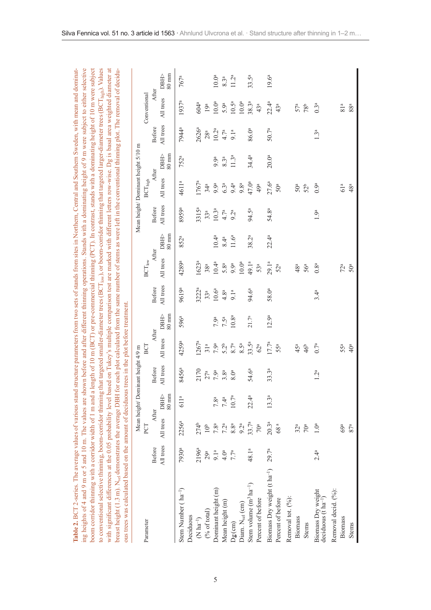| ing heights of 4 and 9 m or 5 and 10 m. The values are shown before and after different thiming operations. Stands with a dominating height of 9 m were subject to either selective<br>to conventional selective thiming, boom-corridor thinning that targeted smaller-diameter trees (BCT <sub>low</sub> ), or boom-corridor thinning that targeted larger-diameter trees (BCT <sub>high</sub> ). Values<br>with significant differences at the 0.05 probability level based on Tukey's multiple comparison test are marked with different letters row-wise. Dg is basal area weighted diameter at<br>breast height (1.3 m). N <sub>sel</sub> demonstrates the average DBH for each plot calculated from the same number of stems as were left in the conventional thimning plot. The removal of decidu-<br>Table 2. BCT 2-series. The average values of various stand<br>ous trees was calculated based on the amount of deciduous<br>boom corridor thinning with a corridor width of 1 m and a |                            |                   |                                   |                            | trees in the plot before treatment. |                   |                            |                                               |                   |                            |                                                    |                   |                            | length of 10 m (BCT) or pre-commercial thimning (PCT). In contrast, stands with a dominating height of 10 m were subject<br>structure parameters from two sets of stands from sites in Northern, Central and Southern Sweden, with mean and dominat- |                   |
|---------------------------------------------------------------------------------------------------------------------------------------------------------------------------------------------------------------------------------------------------------------------------------------------------------------------------------------------------------------------------------------------------------------------------------------------------------------------------------------------------------------------------------------------------------------------------------------------------------------------------------------------------------------------------------------------------------------------------------------------------------------------------------------------------------------------------------------------------------------------------------------------------------------------------------------------------------------------------------------------------|----------------------------|-------------------|-----------------------------------|----------------------------|-------------------------------------|-------------------|----------------------------|-----------------------------------------------|-------------------|----------------------------|----------------------------------------------------|-------------------|----------------------------|------------------------------------------------------------------------------------------------------------------------------------------------------------------------------------------------------------------------------------------------------|-------------------|
| Parameter                                                                                                                                                                                                                                                                                                                                                                                                                                                                                                                                                                                                                                                                                                                                                                                                                                                                                                                                                                                         |                            | PCT               | Mean height/Dominant height 4/9 m |                            | BCT                                 |                   |                            | $\mathbf{B}\mathbf{C}\mathbf{T}_{\text{low}}$ |                   |                            | Mean height/Dominant height 5/10 m<br>$BCT_{high}$ |                   |                            | Conventional                                                                                                                                                                                                                                         |                   |
|                                                                                                                                                                                                                                                                                                                                                                                                                                                                                                                                                                                                                                                                                                                                                                                                                                                                                                                                                                                                   | All trees<br><b>Before</b> | All trees         | DBH><br>After                     | All trees<br><b>Before</b> | After<br>All trees                  | DBH>              | All trees<br><b>Before</b> | After<br>All trees                            | DBIP              | All trees<br><b>Before</b> | After<br>All trees                                 | DBIE              | All trees<br><b>Before</b> | After<br>All trees                                                                                                                                                                                                                                   | <b>DBH&gt;</b>    |
|                                                                                                                                                                                                                                                                                                                                                                                                                                                                                                                                                                                                                                                                                                                                                                                                                                                                                                                                                                                                   |                            |                   | $80\;{\rm mm}$                    |                            |                                     | $80 \mathrm{~mm}$ |                            |                                               | $80 \text{ mm}$   |                            |                                                    | $80\;{\rm mm}$    |                            |                                                                                                                                                                                                                                                      | $80~\mathrm{mm}$  |
| Stem Number (ha <sup>-1</sup> )                                                                                                                                                                                                                                                                                                                                                                                                                                                                                                                                                                                                                                                                                                                                                                                                                                                                                                                                                                   | 7930ª                      | 2256ª             | 611 <sup>a</sup>                  | 8456ª                      | 4259ª                               | 596 <sup>a</sup>  | 9619 <sup>a</sup>          | 4289a                                         | 852ª              | 8959a                      | 4611 <sup>a</sup>                                  | 752ª              | 7944 <sup>a</sup>          | 1937 <sup>a</sup>                                                                                                                                                                                                                                    | 767 <sup>a</sup>  |
| Deciduous                                                                                                                                                                                                                                                                                                                                                                                                                                                                                                                                                                                                                                                                                                                                                                                                                                                                                                                                                                                         |                            |                   |                                   |                            |                                     |                   |                            |                                               |                   |                            |                                                    |                   |                            |                                                                                                                                                                                                                                                      |                   |
| $(N \text{ ha}^{-1})$                                                                                                                                                                                                                                                                                                                                                                                                                                                                                                                                                                                                                                                                                                                                                                                                                                                                                                                                                                             | 2196 <sup>a</sup>          | 274 <sub>b</sub>  |                                   | 2170                       | $1267^8$                            |                   | $3222^a$                   | 1623 <sup>a</sup>                             |                   | 3315 <sup>a</sup>          | 1767 <sup>a</sup>                                  |                   | 2626 <sup>a</sup>          | 604ª                                                                                                                                                                                                                                                 |                   |
| (% of total)                                                                                                                                                                                                                                                                                                                                                                                                                                                                                                                                                                                                                                                                                                                                                                                                                                                                                                                                                                                      | $29^{\rm a}$               | 10 <sup>b</sup>   |                                   | $27^{\rm a}$ $7.9^{\rm a}$ | 31 <sup>a</sup>                     |                   | 33 <sup>a</sup>            | 38 <sup>a</sup>                               |                   | $33^a$                     | 34 <sup>a</sup>                                    |                   | $28^{\rm a}$               | 19 <sup>a</sup>                                                                                                                                                                                                                                      |                   |
| Dominant height (m)                                                                                                                                                                                                                                                                                                                                                                                                                                                                                                                                                                                                                                                                                                                                                                                                                                                                                                                                                                               | $9.1^{\rm a}$              | 7.8 <sup>a</sup>  | 7.8 <sup>a</sup>                  |                            | 7.9 <sup>a</sup>                    | 7.9 <sup>a</sup>  | $10.6^{\rm a}$             | $10.4^{\rm a}$                                | 10.4 <sup>a</sup> | $10.3^{\rm a}$             | 9.9 <sup>a</sup>                                   | 9.9 <sup>a</sup>  | 10.2 <sup>a</sup>          | 10.0 <sup>a</sup>                                                                                                                                                                                                                                    | 10.0 <sup>a</sup> |
| Mean height (m)                                                                                                                                                                                                                                                                                                                                                                                                                                                                                                                                                                                                                                                                                                                                                                                                                                                                                                                                                                                   | 4.0 <sup>a</sup>           | 7.2 <sup>a</sup>  | 7.4 <sup>a</sup>                  | 3.8 <sup>a</sup>           | 5.2 <sup>b</sup>                    | $7.5^{\rm a}$     | 4.8 <sup>a</sup>           | 5.8 <sup>a</sup>                              | $8.4^{\rm a}$     | 4.7 <sup>a</sup>           | $6.3^{\rm a}$                                      | $8.3^{\rm a}$     | 4.7 <sup>a</sup>           | 5.9 <sup>a</sup>                                                                                                                                                                                                                                     | $8.3^{\rm a}$     |
| $Dg$ (cm)                                                                                                                                                                                                                                                                                                                                                                                                                                                                                                                                                                                                                                                                                                                                                                                                                                                                                                                                                                                         | 7.7 <sup>a</sup>           | $8.8^{\rm a}$     | 10.7 <sup>a</sup>                 | 8.0 <sup>a</sup>           | $8.7^{\rm a}$                       | 10.8 <sup>a</sup> | 9.1 <sup>a</sup>           | 9.9 <sup>a</sup>                              | 11.6 <sup>a</sup> | 9.2 <sup>a</sup>           | 9.4 <sup>a</sup>                                   | 11.3 <sup>a</sup> | 9.1 <sup>a</sup>           | $10.5^{\circ}$                                                                                                                                                                                                                                       | 11.2 <sup>a</sup> |
| Diam. N <sub>sel</sub> (cm)                                                                                                                                                                                                                                                                                                                                                                                                                                                                                                                                                                                                                                                                                                                                                                                                                                                                                                                                                                       |                            | 9.2 <sup>a</sup>  |                                   |                            | $8.\overline{5}^{\rm a}$            |                   |                            | 10.0 <sup>a</sup>                             |                   |                            | 9.8 <sup>a</sup>                                   |                   |                            | 10.0 <sup>a</sup>                                                                                                                                                                                                                                    |                   |
| Stem volume $(m^3 ha^{-1})$                                                                                                                                                                                                                                                                                                                                                                                                                                                                                                                                                                                                                                                                                                                                                                                                                                                                                                                                                                       | 48.1ª                      | 33.7 <sup>a</sup> | $22.4^{a}$                        | 54.6 <sup>a</sup>          | $33.5^a$                            | $21.7^{\rm a}$    | 94.6ª                      | 49.1ª                                         | 38.2 <sup>a</sup> | 94.5ª                      | 47.0 <sup>a</sup>                                  | 34.4 <sup>a</sup> | 86.0ª                      | $38.3^{a}$                                                                                                                                                                                                                                           | $33.5^{\rm a}$    |
| Percent of before                                                                                                                                                                                                                                                                                                                                                                                                                                                                                                                                                                                                                                                                                                                                                                                                                                                                                                                                                                                 |                            | 70 <sup>a</sup>   |                                   |                            | $62^{\rm a}$                        |                   |                            | $53^{\rm a}$                                  |                   |                            | 49a                                                |                   |                            | $43^{\rm a}$                                                                                                                                                                                                                                         |                   |
| Biomass Dry weight (t ha <sup>-1</sup> )                                                                                                                                                                                                                                                                                                                                                                                                                                                                                                                                                                                                                                                                                                                                                                                                                                                                                                                                                          | 29.7 <sup>a</sup>          | $20.3^{\rm a}$    | 13.3 <sup>a</sup>                 | 33.3 <sup>a</sup>          | 17.7 <sup>a</sup>                   | 12.9 <sup>a</sup> | 58.0 <sup>a</sup>          | 29.1 <sup>a</sup>                             | 22.4 <sup>a</sup> | 54.8 <sup>a</sup>          | $27.6^{a}$                                         | 20.0 <sup>a</sup> | $50.7^{\rm a}$             | $22.4^a$                                                                                                                                                                                                                                             | $19.6^{a}$        |
| Percent of before                                                                                                                                                                                                                                                                                                                                                                                                                                                                                                                                                                                                                                                                                                                                                                                                                                                                                                                                                                                 |                            | 68 <sup>a</sup>   |                                   |                            | 55 <sup>a</sup>                     |                   |                            | $52^{\mathrm{a}}$                             |                   |                            | 50 <sup>a</sup>                                    |                   |                            | $43^{\rm a}$                                                                                                                                                                                                                                         |                   |
| Removal tot. $(%)$ :                                                                                                                                                                                                                                                                                                                                                                                                                                                                                                                                                                                                                                                                                                                                                                                                                                                                                                                                                                              |                            |                   |                                   |                            |                                     |                   |                            |                                               |                   |                            |                                                    |                   |                            |                                                                                                                                                                                                                                                      |                   |
| <b>Biomass</b>                                                                                                                                                                                                                                                                                                                                                                                                                                                                                                                                                                                                                                                                                                                                                                                                                                                                                                                                                                                    |                            | $32^a$            |                                   |                            | 45 <sup>a</sup>                     |                   |                            | 48 <sup>a</sup>                               |                   |                            | 50 <sup>a</sup>                                    |                   |                            | 57 <sup>a</sup>                                                                                                                                                                                                                                      |                   |
| Stems                                                                                                                                                                                                                                                                                                                                                                                                                                                                                                                                                                                                                                                                                                                                                                                                                                                                                                                                                                                             |                            | 70 <sup>a</sup>   |                                   |                            | 46 <sup>b</sup>                     |                   |                            | 56 <sup>a</sup>                               |                   |                            | 52 <sup>b</sup>                                    |                   |                            | 78 <sup>b</sup>                                                                                                                                                                                                                                      |                   |
| Biomass Dry weight<br>deciduous $(t \text{ ha}^{-1})$                                                                                                                                                                                                                                                                                                                                                                                                                                                                                                                                                                                                                                                                                                                                                                                                                                                                                                                                             | $2.4^a$                    | 1.0 <sup>a</sup>  |                                   | 1.2 <sup>a</sup>           | 0.7 <sup>a</sup>                    |                   | 3.4 <sup>a</sup>           | 0.8 <sup>a</sup>                              |                   | 1.9 <sup>a</sup>           | 0.9 <sup>a</sup>                                   |                   | 1.3 <sup>a</sup>           | 0.3 <sup>a</sup>                                                                                                                                                                                                                                     |                   |
| Removal decid. (%):                                                                                                                                                                                                                                                                                                                                                                                                                                                                                                                                                                                                                                                                                                                                                                                                                                                                                                                                                                               |                            |                   |                                   |                            |                                     |                   |                            |                                               |                   |                            |                                                    |                   |                            |                                                                                                                                                                                                                                                      |                   |
| Biomass                                                                                                                                                                                                                                                                                                                                                                                                                                                                                                                                                                                                                                                                                                                                                                                                                                                                                                                                                                                           |                            | 69a               |                                   |                            | 55 <sup>a</sup>                     |                   |                            | $72^a$                                        |                   |                            | 61 <sup>a</sup>                                    |                   |                            | $81^{\rm a}$                                                                                                                                                                                                                                         |                   |
| Stems                                                                                                                                                                                                                                                                                                                                                                                                                                                                                                                                                                                                                                                                                                                                                                                                                                                                                                                                                                                             |                            | 87a               |                                   |                            | 40 <sup>a</sup>                     |                   |                            | 50 <sup>a</sup>                               |                   |                            | 48 <sup>a</sup>                                    |                   |                            | 88 <sup>a</sup>                                                                                                                                                                                                                                      |                   |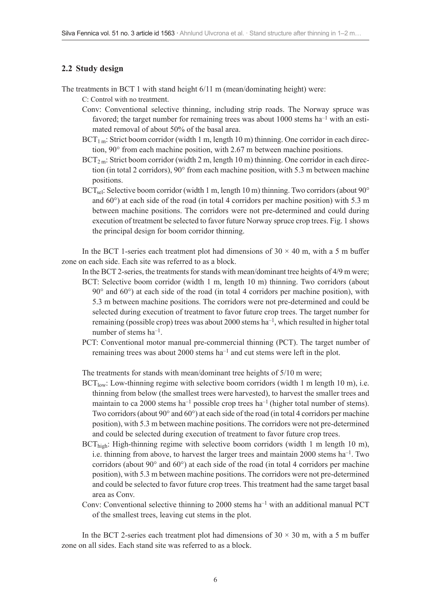#### **2.2 Study design**

- The treatments in BCT 1 with stand height 6/11 m (mean/dominating height) were:
	- C: Control with no treatment.
	- Conv: Conventional selective thinning, including strip roads. The Norway spruce was favored; the target number for remaining trees was about  $1000$  stems ha<sup>-1</sup> with an estimated removal of about 50% of the basal area.
	- $BCT<sub>1 m</sub>$ : Strict boom corridor (width 1 m, length 10 m) thinning. One corridor in each direction, 90° from each machine position, with 2.67 m between machine positions.
	- $BCT<sub>2</sub>$  m: Strict boom corridor (width 2 m, length 10 m) thinning. One corridor in each direction (in total 2 corridors), 90° from each machine position, with 5.3 m between machine positions.
	- BCT<sub>sel</sub>: Selective boom corridor (width 1 m, length 10 m) thinning. Two corridors (about 90 $^{\circ}$ and 60°) at each side of the road (in total 4 corridors per machine position) with 5.3 m between machine positions. The corridors were not pre-determined and could during execution of treatment be selected to favor future Norway spruce crop trees. Fig. 1 shows the principal design for boom corridor thinning.

In the BCT 1-series each treatment plot had dimensions of  $30 \times 40$  m, with a 5 m buffer zone on each side. Each site was referred to as a block.

- In the BCT 2-series, the treatments for stands with mean/dominant tree heights of 4/9 m were; BCT: Selective boom corridor (width 1 m, length 10 m) thinning. Two corridors (about  $90^\circ$  and  $60^\circ$ ) at each side of the road (in total 4 corridors per machine position), with 5.3 m between machine positions. The corridors were not pre-determined and could be selected during execution of treatment to favor future crop trees. The target number for remaining (possible crop) trees was about 2000 stems ha–1, which resulted in higher total number of stems ha–1.
- PCT: Conventional motor manual pre-commercial thinning (PCT). The target number of remaining trees was about 2000 stems ha–1 and cut stems were left in the plot.

The treatments for stands with mean/dominant tree heights of 5/10 m were;

- $BCT_{low}$ : Low-thinning regime with selective boom corridors (width 1 m length 10 m), i.e. thinning from below (the smallest trees were harvested), to harvest the smaller trees and maintain to ca 2000 stems ha<sup>-1</sup> possible crop trees ha<sup>-1</sup> (higher total number of stems). Two corridors (about 90° and 60°) at each side of the road (in total 4 corridors per machine position), with 5.3 m between machine positions. The corridors were not pre-determined and could be selected during execution of treatment to favor future crop trees.
- $BCT_{\text{high}}$ : High-thinning regime with selective boom corridors (width 1 m length 10 m), i.e. thinning from above, to harvest the larger trees and maintain 2000 stems  $ha^{-1}$ . Two corridors (about 90° and 60°) at each side of the road (in total 4 corridors per machine position), with 5.3 m between machine positions. The corridors were not pre-determined and could be selected to favor future crop trees. This treatment had the same target basal area as Conv.
- Conv: Conventional selective thinning to 2000 stems  $ha^{-1}$  with an additional manual PCT of the smallest trees, leaving cut stems in the plot.

In the BCT 2-series each treatment plot had dimensions of  $30 \times 30$  m, with a 5 m buffer zone on all sides. Each stand site was referred to as a block.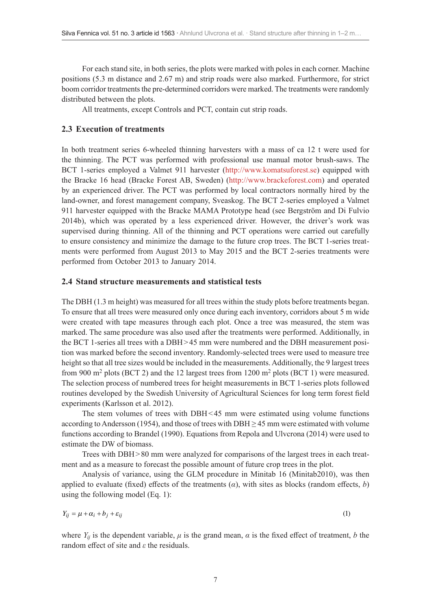For each stand site, in both series, the plots were marked with poles in each corner. Machine positions (5.3 m distance and 2.67 m) and strip roads were also marked. Furthermore, for strict boom corridor treatments the pre-determined corridors were marked. The treatments were randomly distributed between the plots.

All treatments, except Controls and PCT, contain cut strip roads.

#### **2.3 Execution of treatments**

In both treatment series 6-wheeled thinning harvesters with a mass of ca 12 t were used for the thinning. The PCT was performed with professional use manual motor brush-saws. The BCT 1-series employed a Valmet 911 harvester [\(http://www.komatsuforest.se\)](http://www.komatsuforest.se) equipped with the Bracke 16 head (Bracke Forest AB, Sweden) [\(http://www.brackeforest.com\)](http://www.brackeforest.com) and operated by an experienced driver. The PCT was performed by local contractors normally hired by the land-owner, and forest management company, Sveaskog. The BCT 2-series employed a Valmet 911 harvester equipped with the Bracke MAMA Prototype head (see Bergström and Di Fulvio 2014b), which was operated by a less experienced driver. However, the driver's work was supervised during thinning. All of the thinning and PCT operations were carried out carefully to ensure consistency and minimize the damage to the future crop trees. The BCT 1-series treatments were performed from August 2013 to May 2015 and the BCT 2-series treatments were performed from October 2013 to January 2014.

#### **2.4 Stand structure measurements and statistical tests**

The DBH (1.3 m height) was measured for all trees within the study plots before treatments began. To ensure that all trees were measured only once during each inventory, corridors about 5 m wide were created with tape measures through each plot. Once a tree was measured, the stem was marked. The same procedure was also used after the treatments were performed. Additionally, in the BCT 1-series all trees with a DBH>45 mm were numbered and the DBH measurement position was marked before the second inventory. Randomly-selected trees were used to measure tree height so that all tree sizes would be included in the measurements. Additionally, the 9 largest trees from 900  $\text{m}^2$  plots (BCT 2) and the 12 largest trees from 1200  $\text{m}^2$  plots (BCT 1) were measured. The selection process of numbered trees for height measurements in BCT 1-series plots followed routines developed by the Swedish University of Agricultural Sciences for long term forest field experiments (Karlsson et al. 2012).

The stem volumes of trees with DBH<45 mm were estimated using volume functions according to Andersson (1954), and those of trees with DBH  $\geq$  45 mm were estimated with volume functions according to Brandel (1990). Equations from Repola and Ulvcrona (2014) were used to estimate the DW of biomass.

Trees with DBH>80 mm were analyzed for comparisons of the largest trees in each treatment and as a measure to forecast the possible amount of future crop trees in the plot.

Analysis of variance, using the GLM procedure in Minitab 16 (Minitab2010), was then applied to evaluate (fixed) effects of the treatments  $(\alpha)$ , with sites as blocks (random effects, *b*) using the following model (Eq. 1):

$$
Y_{ij} = \mu + \alpha_i + b_j + \varepsilon_{ij} \tag{1}
$$

where  $Y_{ij}$  is the dependent variable,  $\mu$  is the grand mean,  $\alpha$  is the fixed effect of treatment,  $b$  the random effect of site and *ε* the residuals.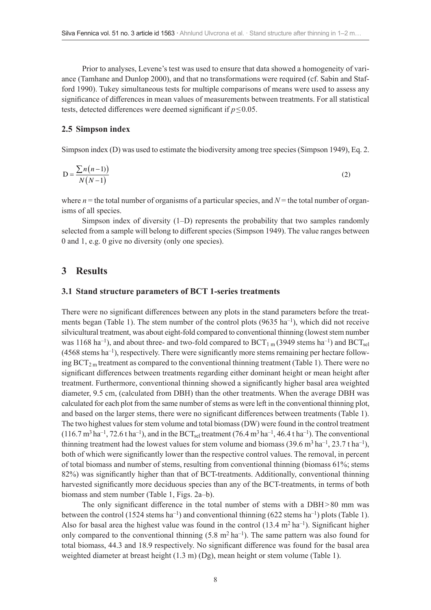Prior to analyses, Levene's test was used to ensure that data showed a homogeneity of variance (Tamhane and Dunlop 2000), and that no transformations were required (cf. Sabin and Stafford 1990). Tukey simultaneous tests for multiple comparisons of means were used to assess any significance of differences in mean values of measurements between treatments. For all statistical tests, detected differences were deemed significant if *p*≤0.05.

#### **2.5 Simpson index**

Simpson index (D) was used to estimate the biodiversity among tree species (Simpson 1949), Eq. 2.

$$
D = \frac{\sum n(n-1)}{N(N-1)}\tag{2}
$$

where  $n =$  the total number of organisms of a particular species, and  $N =$  the total number of organisms of all species.

Simpson index of diversity (1–D) represents the probability that two samples randomly selected from a sample will belong to different species (Simpson 1949). The value ranges between 0 and 1, e.g. 0 give no diversity (only one species).

## **3 Results**

#### **3.1 Stand structure parameters of BCT 1-series treatments**

There were no significant differences between any plots in the stand parameters before the treatments began (Table 1). The stem number of the control plots (9635  $\text{ha}^{-1}$ ), which did not receive silvicultural treatment, was about eight-fold compared to conventional thinning (lowest stem number was 1168 ha<sup>-1</sup>), and about three- and two-fold compared to  $BCT_{1 m}$  (3949 stems ha<sup>-1</sup>) and  $BCT_{sel}$  $(4568 \text{ stems ha}^{-1})$ , respectively. There were significantly more stems remaining per hectare following  $BCT_{2m}$  treatment as compared to the conventional thinning treatment (Table 1). There were no significant differences between treatments regarding either dominant height or mean height after treatment. Furthermore, conventional thinning showed a significantly higher basal area weighted diameter, 9.5 cm, (calculated from DBH) than the other treatments. When the average DBH was calculated for each plot from the same number of stems as were left in the conventional thinning plot, and based on the larger stems, there were no significant differences between treatments (Table 1). The two highest values for stem volume and total biomass (DW) were found in the control treatment  $(116.7 \text{ m}^3 \text{ ha}^{-1}, 72.6 \text{ tha}^{-1})$ , and in the BCT<sub>sel</sub> treatment  $(76.4 \text{ m}^3 \text{ ha}^{-1}, 46.4 \text{ tha}^{-1})$ . The conventional thinning treatment had the lowest values for stem volume and biomass (39.6 m<sup>3</sup> ha<sup>-1</sup>, 23.7 t ha<sup>-1</sup>), both of which were significantly lower than the respective control values. The removal, in percent of total biomass and number of stems, resulting from conventional thinning (biomass 61%; stems 82%) was significantly higher than that of BCT-treatments. Additionally, conventional thinning harvested significantly more deciduous species than any of the BCT-treatments, in terms of both biomass and stem number (Table 1, Figs. 2a–b).

The only significant difference in the total number of stems with a DBH>80 mm was between the control (1524 stems ha<sup>-1</sup>) and conventional thinning (622 stems ha<sup>-1</sup>) plots (Table 1). Also for basal area the highest value was found in the control  $(13.4 \text{ m}^2 \text{ ha}^{-1})$ . Significant higher only compared to the conventional thinning  $(5.8 \text{ m}^2 \text{ ha}^{-1})$ . The same pattern was also found for total biomass, 44.3 and 18.9 respectively. No significant difference was found for the basal area weighted diameter at breast height (1.3 m) (Dg), mean height or stem volume (Table 1).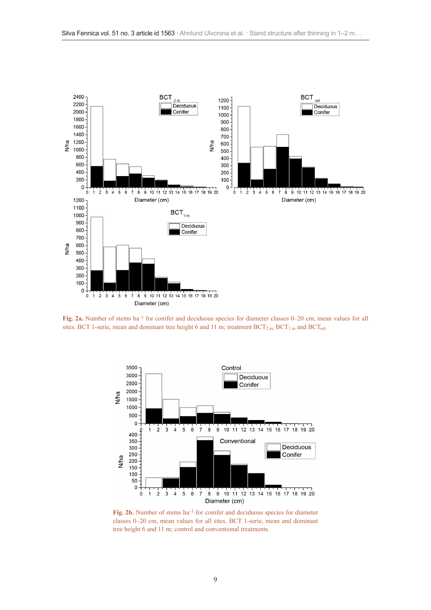

**Fig. 2a.** Number of stems ha–1 for conifer and deciduous species for diameter classes 0–20 cm, mean values for all sites. BCT 1-serie, mean and dominant tree height 6 and 11 m; treatment  $BCT_{2m}$ ,  $BCT_{1m}$  and  $BCT_{sel}$ .



Fig. 2b. Number of stems ha<sup>-1</sup> for conifer and deciduous species for diameter classes 0–20 cm, mean values for all sites. BCT 1-serie, mean and dominant tree height 6 and 11 m; control and conventional treatments.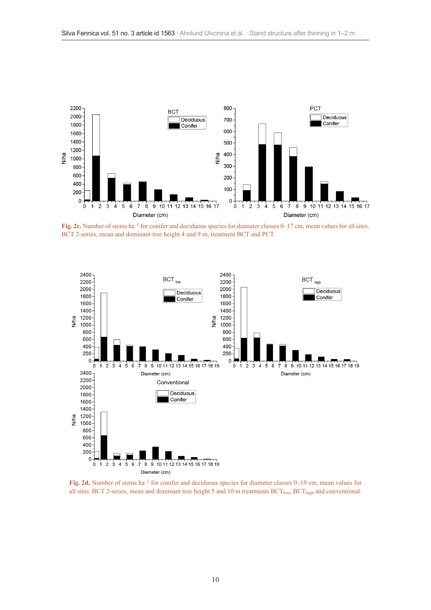

**Fig. 2c.** Number of stems ha<sup>-1</sup> for conifer and deciduous species for diameter classes 0–17 cm, mean values for all sites. BCT 2-series, mean and dominant tree height 4 and 9 m, treatment BCT and PCT.



**Fig. 2d.** Number of stems ha–1 for conifer and deciduous species for diameter classes 0–19 cm, mean values for all sites. BCT 2-series, mean and dominant tree height 5 and 10 m treatments  $BCT_{low}$ ,  $BCT_{high}$  and conventional.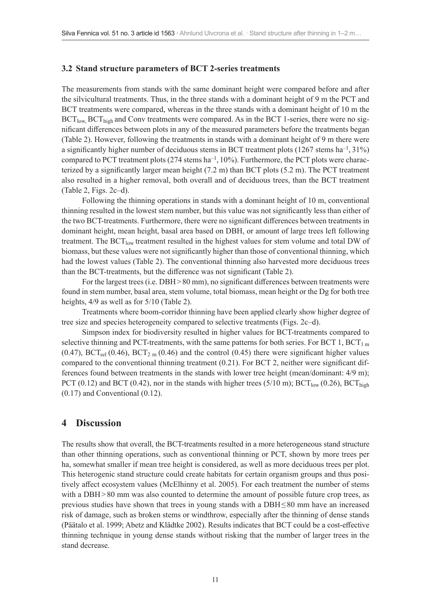#### **3.2 Stand structure parameters of BCT 2-series treatments**

The measurements from stands with the same dominant height were compared before and after the silvicultural treatments. Thus, in the three stands with a dominant height of 9 m the PCT and BCT treatments were compared, whereas in the three stands with a dominant height of 10 m the  $BCT_{low}$ ,  $BCT_{high}$  and Conv treatments were compared. As in the BCT 1-series, there were no significant differences between plots in any of the measured parameters before the treatments began (Table 2). However, following the treatments in stands with a dominant height of 9 m there were a significantly higher number of deciduous stems in BCT treatment plots  $(1267 \text{ stems ha}^{-1}, 31\%)$ compared to PCT treatment plots  $(274 \text{ stems ha}^{-1}, 10\%)$ . Furthermore, the PCT plots were characterized by a significantly larger mean height (7.2 m) than BCT plots (5.2 m). The PCT treatment also resulted in a higher removal, both overall and of deciduous trees, than the BCT treatment (Table 2, Figs. 2c–d).

Following the thinning operations in stands with a dominant height of 10 m, conventional thinning resulted in the lowest stem number, but this value was not significantly less than either of the two BCT-treatments. Furthermore, there were no significant differences between treatments in dominant height, mean height, basal area based on DBH, or amount of large trees left following treatment. The  $BCT_{low}$  treatment resulted in the highest values for stem volume and total DW of biomass, but these values were not significantly higher than those of conventional thinning, which had the lowest values (Table 2). The conventional thinning also harvested more deciduous trees than the BCT-treatments, but the difference was not significant (Table 2).

For the largest trees (i.e. DBH > 80 mm), no significant differences between treatments were found in stem number, basal area, stem volume, total biomass, mean height or the Dg for both tree heights,  $4/9$  as well as for  $5/10$  (Table 2).

Treatments where boom-corridor thinning have been applied clearly show higher degree of tree size and species heterogeneity compared to selective treatments (Figs. 2c–d).

Simpson index for biodiversity resulted in higher values for BCT-treatments compared to selective thinning and PCT-treatments, with the same patterns for both series. For BCT 1,  $BCT<sub>1 m</sub>$ (0.47), BCT<sub>sel</sub> (0.46), BCT<sub>2</sub> m (0.46) and the control (0.45) there were significant higher values compared to the conventional thinning treatment (0.21). For BCT 2, neither were significant differences found between treatments in the stands with lower tree height (mean/dominant: 4/9 m); PCT (0.12) and BCT (0.42), nor in the stands with higher trees (5/10 m);  $BCT_{low}$  (0.26),  $BCT_{high}$ (0.17) and Conventional (0.12).

## **4 Discussion**

The results show that overall, the BCT-treatments resulted in a more heterogeneous stand structure than other thinning operations, such as conventional thinning or PCT, shown by more trees per ha, somewhat smaller if mean tree height is considered, as well as more deciduous trees per plot. This heterogenic stand structure could create habitats for certain organism groups and thus positively affect ecosystem values (McElhinny et al. 2005). For each treatment the number of stems with a DBH>80 mm was also counted to determine the amount of possible future crop trees, as previous studies have shown that trees in young stands with a DBH≤80 mm have an increased risk of damage, such as broken stems or windthrow, especially after the thinning of dense stands (Päätalo et al. 1999; Abetz and Klädtke 2002). Results indicates that BCT could be a cost-effective thinning technique in young dense stands without risking that the number of larger trees in the stand decrease.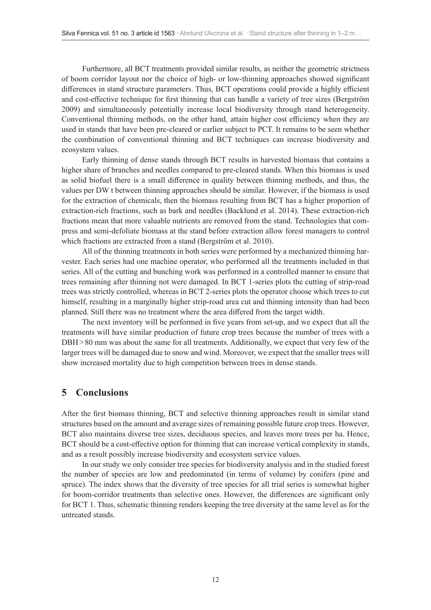Furthermore, all BCT treatments provided similar results, as neither the geometric strictness of boom corridor layout nor the choice of high- or low-thinning approaches showed significant differences in stand structure parameters. Thus, BCT operations could provide a highly efficient and cost-effective technique for first thinning that can handle a variety of tree sizes (Bergström 2009) and simultaneously potentially increase local biodiversity through stand heterogeneity. Conventional thinning methods, on the other hand, attain higher cost efficiency when they are used in stands that have been pre-cleared or earlier subject to PCT. It remains to be seen whether the combination of conventional thinning and BCT techniques can increase biodiversity and ecosystem values.

Early thinning of dense stands through BCT results in harvested biomass that contains a higher share of branches and needles compared to pre-cleared stands. When this biomass is used as solid biofuel there is a small difference in quality between thinning methods, and thus, the values per DW t between thinning approaches should be similar. However, if the biomass is used for the extraction of chemicals, then the biomass resulting from BCT has a higher proportion of extraction-rich fractions, such as bark and needles (Backlund et al. 2014). These extraction-rich fractions mean that more valuable nutrients are removed from the stand. Technologies that compress and semi-defoliate biomass at the stand before extraction allow forest managers to control which fractions are extracted from a stand (Bergström et al. 2010).

All of the thinning treatments in both series were performed by a mechanized thinning harvester. Each series had one machine operator, who performed all the treatments included in that series. All of the cutting and bunching work was performed in a controlled manner to ensure that trees remaining after thinning not were damaged. In BCT 1-series plots the cutting of strip-road trees was strictly controlled, whereas in BCT 2-series plots the operator choose which trees to cut himself, resulting in a marginally higher strip-road area cut and thinning intensity than had been planned. Still there was no treatment where the area differed from the target width.

The next inventory will be performed in five years from set-up, and we expect that all the treatments will have similar production of future crop trees because the number of trees with a DBH>80 mm was about the same for all treatments. Additionally, we expect that very few of the larger trees will be damaged due to snow and wind. Moreover, we expect that the smaller trees will show increased mortality due to high competition between trees in dense stands.

## **5 Conclusions**

After the first biomass thinning, BCT and selective thinning approaches result in similar stand structures based on the amount and average sizes of remaining possible future crop trees. However, BCT also maintains diverse tree sizes, deciduous species, and leaves more trees per ha. Hence, BCT should be a cost-effective option for thinning that can increase vertical complexity in stands, and as a result possibly increase biodiversity and ecosystem service values.

In our study we only consider tree species for biodiversity analysis and in the studied forest the number of species are low and predominated (in terms of volume) by conifers (pine and spruce). The index shows that the diversity of tree species for all trial series is somewhat higher for boom-corridor treatments than selective ones. However, the differences are significant only for BCT 1. Thus, schematic thinning renders keeping the tree diversity at the same level as for the untreated stands.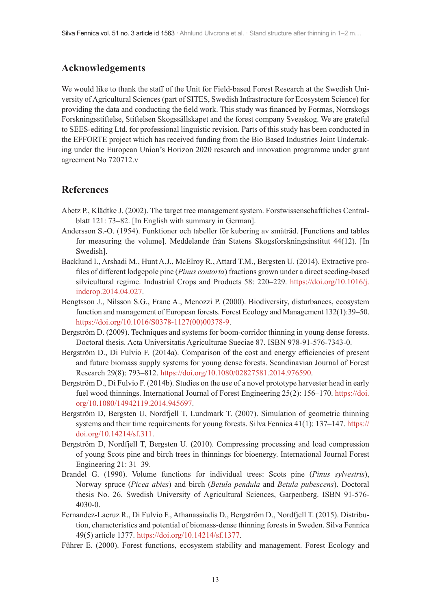# **Acknowledgements**

We would like to thank the staff of the Unit for Field-based Forest Research at the Swedish University of Agricultural Sciences (part of SITES, Swedish Infrastructure for Ecosystem Science) for providing the data and conducting the field work. This study was financed by Formas, Norrskogs Forskningsstiftelse, Stiftelsen Skogssällskapet and the forest company Sveaskog. We are grateful to SEES-editing Ltd. for professional linguistic revision. Parts of this study has been conducted in the EFFORTE project which has received funding from the Bio Based Industries Joint Undertaking under the European Union's Horizon 2020 research and innovation programme under grant agreement No 720712.v

# **References**

- Abetz P., Klädtke J. (2002). The target tree management system. Forstwissenschaftliches Centralblatt 121: 73–82. [In English with summary in German].
- Andersson S.-O. (1954). Funktioner och tabeller för kubering av småträd. [Functions and tables for measuring the volume]. Meddelande från Statens Skogsforskningsinstitut 44(12). [In Swedish].
- Backlund I., Arshadi M., Hunt A.J., McElroy R., Attard T.M., Bergsten U. (2014). Extractive profiles of different lodgepole pine (*Pinus contorta*) fractions grown under a direct seeding-based silvicultural regime. Industrial Crops and Products 58: 220–229. [https://doi.org/10.1016/j.](https://doi.org/10.1016/j.indcrop.2014.04.027) [indcrop.2014.04.027](https://doi.org/10.1016/j.indcrop.2014.04.027).
- Bengtsson J., Nilsson S.G., Franc A., Menozzi P. (2000). Biodiversity, disturbances, ecosystem function and management of European forests. Forest Ecology and Management 132(1):39–50. [https://doi.org/10.1016/S0378-1127\(00\)00378-9.](http://dx.doi.org/10.1016/S0378-1127(00)00378-9)
- Bergström D. (2009). Techniques and systems for boom-corridor thinning in young dense forests. Doctoral thesis. Acta Universitatis Agriculturae Sueciae 87. ISBN 978-91-576-7343-0.
- Bergström D., Di Fulvio F. (2014a). Comparison of the cost and energy efficiencies of present and future biomass supply systems for young dense forests. Scandinavian Journal of Forest Research 29(8): 793–812. [https://doi.org/10.1080/02827581.2014.976590.](http://dx.doi.org/10.1080/02827581.2014.976590)
- Bergström D., Di Fulvio F. (2014b). Studies on the use of a novel prototype harvester head in early fuel wood thinnings. International Journal of Forest Engineering 25(2): 156–170. [https://doi.](http://dx.doi.org/10.1080/14942119.2014.945697) [org/10.1080/14942119.2014.945697.](http://dx.doi.org/10.1080/14942119.2014.945697)
- Bergström D, Bergsten U, Nordfjell T, Lundmark T. (2007). Simulation of geometric thinning systems and their time requirements for young forests. Silva Fennica 41(1): 137–147. [https://](http://dx.doi.org/10.14214/sf.311) [doi.org/10.14214/sf.311.](http://dx.doi.org/10.14214/sf.311)
- Bergström D, Nordfjell T, Bergsten U. (2010). Compressing processing and load compression of young Scots pine and birch trees in thinnings for bioenergy. International Journal Forest Engineering 21: 31–39.
- Brandel G. (1990). Volume functions for individual trees: Scots pine (*Pinus sylvestris*), Norway spruce (*Picea abies*) and birch (*Betula pendula* and *Betula pubescens*). Doctoral thesis No. 26. Swedish University of Agricultural Sciences, Garpenberg. ISBN 91-576- 4030-0.
- Fernandez-Lacruz R., Di Fulvio F., Athanassiadis D., Bergström D., Nordfjell T. (2015). Distribution, characteristics and potential of biomass-dense thinning forests in Sweden. Silva Fennica 49(5) article 1377. [https://doi.org/10.14214/sf.1377.](http://dx.doi.org/10.14214/sf.1377)
- Führer E. (2000). Forest functions, ecosystem stability and management. Forest Ecology and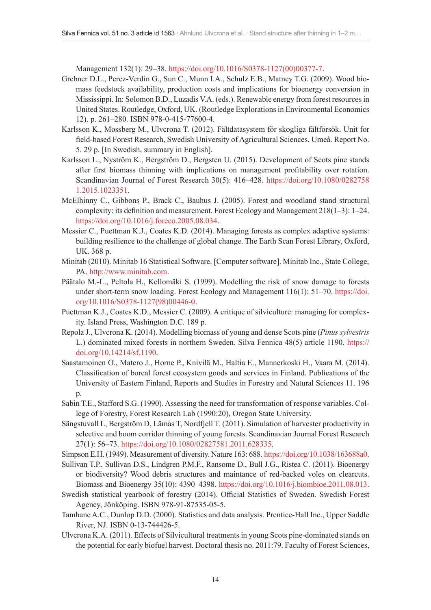Management 132(1): 29–38. [https://doi.org/10.1016/S0378-1127\(00\)00377-7.](http://dx.doi.org/10.1016/S0378-1127(00)00377-7)

- Grebner D.L., Perez-Verdin G., Sun C., Munn I.A., Schulz E.B., Matney T.G. (2009). Wood biomass feedstock availability, production costs and implications for bioenergy conversion in Mississippi. In: Solomon B.D., Luzadis V.A. (eds.). Renewable energy from forest resources in United States. Routledge, Oxford, UK. (Routledge Explorations in Environmental Economics 12). p. 261–280. ISBN 978-0-415-77600-4.
- Karlsson K., Mossberg M., Ulvcrona T. (2012). Fältdatasystem för skogliga fältförsök. Unit for field-based Forest Research, Swedish University of Agricultural Sciences, Umeå. Report No. 5. 29 p. [In Swedish, summary in English].
- Karlsson L., Nyström K., Bergström D., Bergsten U. (2015). Development of Scots pine stands after first biomass thinning with implications on management profitability over rotation. Scandinavian Journal of Forest Research 30(5): 416–428. [https://doi.org/10.1080/0282758](http://dx.doi.org/10.1080/02827581.2015.1023351) [1.2015.1023351.](http://dx.doi.org/10.1080/02827581.2015.1023351)
- McElhinny C., Gibbons P., Brack C., Bauhus J. (2005). Forest and woodland stand structural complexity: its definition and measurement. Forest Ecology and Management 218(1–3): 1–24. [https://doi.org/10.1016/j.foreco.2005.08.034.](http://dx.doi.org/10.1016/j.foreco.2005.08.034)
- Messier C., Puettman K.J., Coates K.D. (2014). Managing forests as complex adaptive systems: building resilience to the challenge of global change. The Earth Scan Forest Library, Oxford, UK. 368 p.
- Minitab (2010). Minitab 16 Statistical Software. [Computer software]. Minitab Inc., State College, PA. [http://www.minitab.com.](http://www.minitab.com)
- Päätalo M.-L., Peltola H., Kellomäki S. (1999). Modelling the risk of snow damage to forests under short-term snow loading. Forest Ecology and Management 116(1): 51–70. [https://doi.](http://dx.doi.org/10.1016/S0378-1127(98)00446-0) [org/10.1016/S0378-1127\(98\)00446-0.](http://dx.doi.org/10.1016/S0378-1127(98)00446-0)
- Puettman K.J., Coates K.D., Messier C. (2009). A critique of silviculture: managing for complexity. Island Press, Washington D.C. 189 p.
- Repola J., Ulvcrona K. (2014). Modelling biomass of young and dense Scots pine (*Pinus sylvestris* L.) dominated mixed forests in northern Sweden. Silva Fennica 48(5) article 1190. [https://](http://dx.doi.org/10.14214/sf.1190) [doi.org/10.14214/sf.1190.](http://dx.doi.org/10.14214/sf.1190)
- Saastamoinen O., Matero J., Horne P., Knivilä M., Haltia E., Mannerkoski H., Vaara M. (2014). Classification of boreal forest ecosystem goods and services in Finland. Publications of the University of Eastern Finland, Reports and Studies in Forestry and Natural Sciences 11. 196 p.
- Sabin T.E., Stafford S.G. (1990). Assessing the need for transformation of response variables. College of Forestry, Forest Research Lab (1990:20), Oregon State University.
- Sängstuvall L, Bergström D, Lämås T, Nordfjell T. (2011). Simulation of harvester productivity in selective and boom corridor thinning of young forests. Scandinavian Journal Forest Research 27(1): 56–73. [https://doi.org/10.1080/02827581.2011.628335.](http://dx.doi.org/10.1080/02827581.2011.628335)
- Simpson E.H. (1949). Measurement of diversity. Nature 163: 688. [https://doi.org/10.1038/163688a0.](http://dx.doi.org/10.1038/163688a0)
- Sullivan T.P., Sullivan D.S., Lindgren P.M.F., Ransome D., Bull J.G., Ristea C. (2011). Bioenergy or biodiversity? Wood debris structures and maintance of red-backed voles on clearcuts. Biomass and Bioenergy 35(10): 4390–4398. [https://doi.org/10.1016/j.biombioe.2011.08.013.](http://dx.doi.org/10.1016/j.biombioe.2011.08.013)
- Swedish statistical yearbook of forestry (2014). Official Statistics of Sweden. Swedish Forest Agency, Jönköping. ISBN 978-91-87535-05-5.
- Tamhane A.C., Dunlop D.D. (2000). Statistics and data analysis. Prentice-Hall Inc., Upper Saddle River, NJ. ISBN 0-13-744426-5.
- Ulvcrona K.A. (2011). Effects of Silvicultural treatments in young Scots pine-dominated stands on the potential for early biofuel harvest. Doctoral thesis no. 2011:79. Faculty of Forest Sciences,